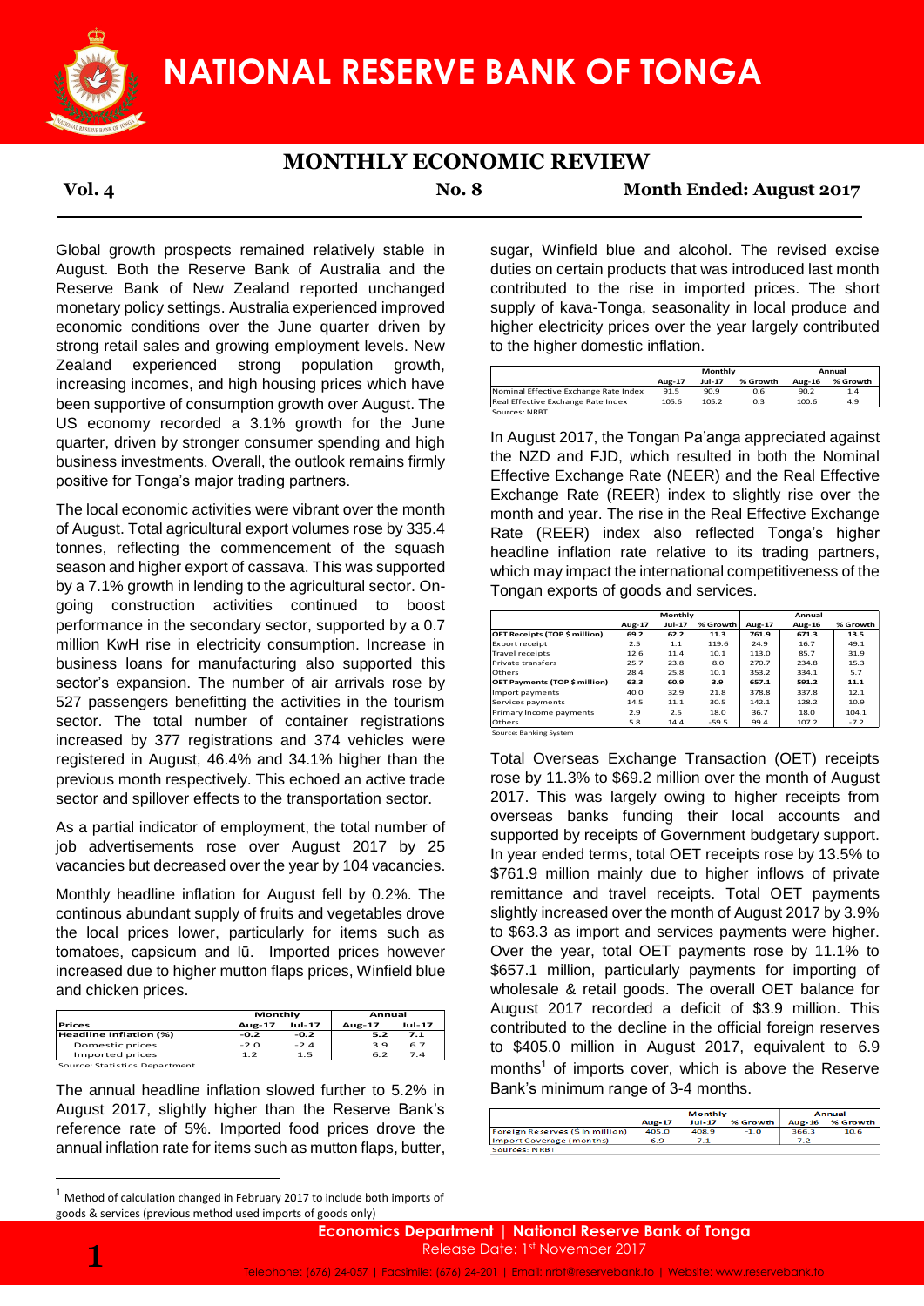

## **MONTHLY ECONOMIC REVIEW**

**Vol. 4 No. 8 Month Ended: August 2017**

Global growth prospects remained relatively stable in August. Both the Reserve Bank of Australia and the Reserve Bank of New Zealand reported unchanged monetary policy settings. Australia experienced improved economic conditions over the June quarter driven by strong retail sales and growing employment levels. New Zealand experienced strong population growth, increasing incomes, and high housing prices which have been supportive of consumption growth over August. The US economy recorded a 3.1% growth for the June quarter, driven by stronger consumer spending and high business investments. Overall, the outlook remains firmly positive for Tonga's major trading partners.

The local economic activities were vibrant over the month of August. Total agricultural export volumes rose by 335.4 tonnes, reflecting the commencement of the squash season and higher export of cassava. This was supported by a 7.1% growth in lending to the agricultural sector. Ongoing construction activities continued to boost performance in the secondary sector, supported by a 0.7 million KwH rise in electricity consumption. Increase in business loans for manufacturing also supported this sector's expansion. The number of air arrivals rose by 527 passengers benefitting the activities in the tourism sector. The total number of container registrations increased by 377 registrations and 374 vehicles were registered in August, 46.4% and 34.1% higher than the previous month respectively. This echoed an active trade sector and spillover effects to the transportation sector.

As a partial indicator of employment, the total number of job advertisements rose over August 2017 by 25 vacancies but decreased over the year by 104 vacancies.

Monthly headline inflation for August fell by 0.2%. The continous abundant supply of fruits and vegetables drove the local prices lower, particularly for items such as tomatoes, capsicum and lū. Imported prices however increased due to higher mutton flaps prices, Winfield blue and chicken prices.

|                               | Monthly          |        | Annual |               |  |
|-------------------------------|------------------|--------|--------|---------------|--|
| <b>Prices</b>                 | Jul-17<br>Aug-17 |        | Aug-17 | <b>Jul-17</b> |  |
| Headline Inflation (%)        | $-0.2$           | $-0.2$ | 5.2    | 7.1           |  |
| Domestic prices               | $-2.0$           | $-2.4$ | 3.9    | 6.7           |  |
| Imported prices               | 1.2              | 1.5    | 6.2    | 7.4           |  |
| Source: Statistics Department |                  |        |        |               |  |

The annual headline inflation slowed further to 5.2% in August 2017, slightly higher than the Reserve Bank's reference rate of 5%. Imported food prices drove the annual inflation rate for items such as mutton flaps, butter,

sugar, Winfield blue and alcohol. The revised excise duties on certain products that was introduced last month contributed to the rise in imported prices. The short supply of kava-Tonga, seasonality in local produce and higher electricity prices over the year largely contributed to the higher domestic inflation.

|                                       | Monthly |               |          | Annual |          |  |
|---------------------------------------|---------|---------------|----------|--------|----------|--|
|                                       | Aug-17  | <b>Jul-17</b> | % Growth | Aug-16 | % Growth |  |
| Nominal Effective Exchange Rate Index | 91.5    | 90.9          | 0.6      | 90.2   | 1.4      |  |
| Real Effective Exchange Rate Index    | 105.6   | 105.2         | 0.3      | 100.6  | 4.9      |  |
| Sources: NRRT                         |         |               |          |        |          |  |

In August 2017, the Tongan Pa'anga appreciated against the NZD and FJD, which resulted in both the Nominal Effective Exchange Rate (NEER) and the Real Effective Exchange Rate (REER) index to slightly rise over the month and year. The rise in the Real Effective Exchange Rate (REER) index also reflected Tonga's higher headline inflation rate relative to its trading partners, which may impact the international competitiveness of the Tongan exports of goods and services.

|                               | Monthly |               |          | Annual |        |          |  |
|-------------------------------|---------|---------------|----------|--------|--------|----------|--|
|                               | Aug-17  | <b>Jul-17</b> | % Growth | Aug-17 | Aug-16 | % Growth |  |
| OET Receipts (TOP \$ million) | 69.2    | 62.2          | 11.3     | 761.9  | 671.3  | 13.5     |  |
| <b>Export receipt</b>         | 2.5     | 1.1           | 119.6    | 24.9   | 16.7   | 49.1     |  |
| <b>Travel receipts</b>        | 12.6    | 11.4          | 10.1     | 113.0  | 85.7   | 31.9     |  |
| <b>Private transfers</b>      | 25.7    | 23.8          | 8.0      | 270.7  | 234.8  | 15.3     |  |
| Others                        | 28.4    | 25.8          | 10.1     | 353.2  | 334.1  | 5.7      |  |
| OET Payments (TOP \$ million) | 63.3    | 60.9          | 3.9      | 657.1  | 591.2  | 11.1     |  |
| Import payments               | 40.0    | 32.9          | 21.8     | 378.8  | 337.8  | 12.1     |  |
| Services payments             | 14.5    | 11.1          | 30.5     | 142.1  | 128.2  | 10.9     |  |
| Primary Income payments       | 2.9     | 2.5           | 18.0     | 36.7   | 18.0   | 104.1    |  |
| Others                        | 5.8     | 14.4          | $-59.5$  | 99.4   | 107.2  | $-7.2$   |  |
| Source: Banking System        |         |               |          |        |        |          |  |

Total Overseas Exchange Transaction (OET) receipts rose by 11.3% to \$69.2 million over the month of August 2017. This was largely owing to higher receipts from overseas banks funding their local accounts and supported by receipts of Government budgetary support. In year ended terms, total OET receipts rose by 13.5% to \$761.9 million mainly due to higher inflows of private remittance and travel receipts. Total OET payments slightly increased over the month of August 2017 by 3.9% to \$63.3 as import and services payments were higher. Over the year, total OET payments rose by 11.1% to \$657.1 million, particularly payments for importing of wholesale & retail goods. The overall OET balance for August 2017 recorded a deficit of \$3.9 million. This contributed to the decline in the official foreign reserves to \$405.0 million in August 2017, equivalent to 6.9 months<sup>1</sup> of imports cover, which is above the Reserve Bank's minimum range of 3-4 months. Montanton interest and the the the theorem and the two states are the most of the square of the square of the NZD and FUD, which resulted and approximate speeding and high the outlook remains firmly the NN2D and FUD, which

|                                 | <b>Monthly</b> |          |          | Annual        |          |  |
|---------------------------------|----------------|----------|----------|---------------|----------|--|
|                                 | <b>Aug-17</b>  | $Jul-17$ | % Growth | <b>Aug-16</b> | % Growth |  |
| Foreign Reserves (S in million) | 405.0          | 408.9    | $-1.0$   | 366.3         | 10.6     |  |
| Import Coverage (months)        | 6.9            |          |          | 7.2           |          |  |
| Sources: NRRT                   |                |          |          |               |          |  |

<sup>1</sup> Method of calculation changed in February 2017 to include both imports of goods & services (previous method used imports of goods only)

1